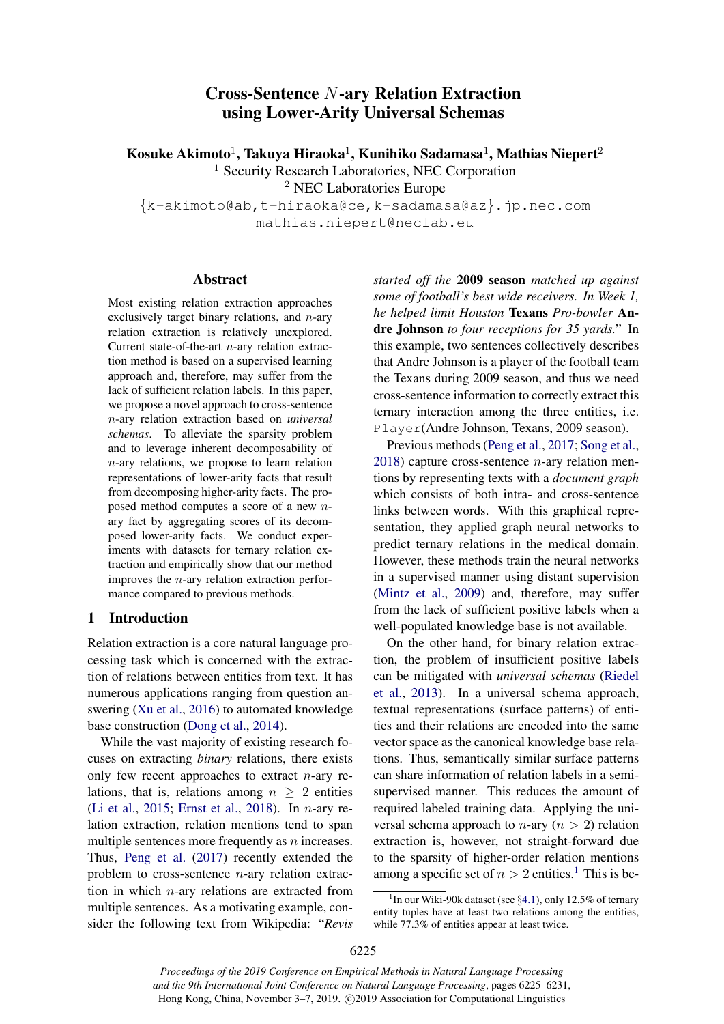# Cross-Sentence N-ary Relation Extraction using Lower-Arity Universal Schemas

Kosuke Akimoto $^1$ , Takuya Hiraoka $^1$ , Kunihiko Sadamasa $^1$ , Mathias Niepert $^2$ 

<sup>1</sup> Security Research Laboratories, NEC Corporation

<sup>2</sup> NEC Laboratories Europe

{k-akimoto@ab,t-hiraoka@ce,k-sadamasa@az}.jp.nec.com mathias.niepert@neclab.eu

# Abstract

Most existing relation extraction approaches exclusively target binary relations, and  $n$ -ary relation extraction is relatively unexplored. Current state-of-the-art n-ary relation extraction method is based on a supervised learning approach and, therefore, may suffer from the lack of sufficient relation labels. In this paper, we propose a novel approach to cross-sentence n-ary relation extraction based on *universal schemas*. To alleviate the sparsity problem and to leverage inherent decomposability of n-ary relations, we propose to learn relation representations of lower-arity facts that result from decomposing higher-arity facts. The proposed method computes a score of a new nary fact by aggregating scores of its decomposed lower-arity facts. We conduct experiments with datasets for ternary relation extraction and empirically show that our method improves the  $n$ -ary relation extraction performance compared to previous methods.

# 1 Introduction

Relation extraction is a core natural language processing task which is concerned with the extraction of relations between entities from text. It has numerous applications ranging from question answering [\(Xu et al.,](#page-5-0) [2016\)](#page-5-0) to automated knowledge base construction [\(Dong et al.,](#page-4-0) [2014\)](#page-4-0).

While the vast majority of existing research focuses on extracting *binary* relations, there exists only few recent approaches to extract  $n$ -ary relations, that is, relations among  $n \geq 2$  entities [\(Li et al.,](#page-5-1) [2015;](#page-5-1) [Ernst et al.,](#page-5-2) [2018\)](#page-5-2). In *n*-ary relation extraction, relation mentions tend to span multiple sentences more frequently as  $n$  increases. Thus, [Peng et al.](#page-5-3) [\(2017\)](#page-5-3) recently extended the problem to cross-sentence n-ary relation extraction in which  $n$ -ary relations are extracted from multiple sentences. As a motivating example, consider the following text from Wikipedia: "*Revis* *started off the* 2009 season *matched up against some of football's best wide receivers. In Week 1, he helped limit Houston* Texans *Pro-bowler* Andre Johnson *to four receptions for 35 yards.*" In this example, two sentences collectively describes that Andre Johnson is a player of the football team the Texans during 2009 season, and thus we need cross-sentence information to correctly extract this ternary interaction among the three entities, i.e. Player(Andre Johnson, Texans, 2009 season).

Previous methods [\(Peng et al.,](#page-5-3) [2017;](#page-5-3) [Song et al.,](#page-5-4) [2018\)](#page-5-4) capture cross-sentence  $n$ -ary relation mentions by representing texts with a *document graph* which consists of both intra- and cross-sentence links between words. With this graphical representation, they applied graph neural networks to predict ternary relations in the medical domain. However, these methods train the neural networks in a supervised manner using distant supervision [\(Mintz et al.,](#page-5-5) [2009\)](#page-5-5) and, therefore, may suffer from the lack of sufficient positive labels when a well-populated knowledge base is not available.

On the other hand, for binary relation extraction, the problem of insufficient positive labels can be mitigated with *universal schemas* [\(Riedel](#page-5-6) [et al.,](#page-5-6) [2013\)](#page-5-6). In a universal schema approach, textual representations (surface patterns) of entities and their relations are encoded into the same vector space as the canonical knowledge base relations. Thus, semantically similar surface patterns can share information of relation labels in a semisupervised manner. This reduces the amount of required labeled training data. Applying the universal schema approach to *n*-ary ( $n > 2$ ) relation extraction is, however, not straight-forward due to the sparsity of higher-order relation mentions among a specific set of  $n > 2$  entities.<sup>[1](#page-0-0)</sup> This is be-

*Proceedings of the 2019 Conference on Empirical Methods in Natural Language Processing and the 9th International Joint Conference on Natural Language Processing*, pages 6225–6231, Hong Kong, China, November 3–7, 2019. ©2019 Association for Computational Linguistics

<span id="page-0-0"></span><sup>&</sup>lt;sup>1</sup>In our Wiki-90k dataset (see  $\S 4.1$ ), only 12.5% of ternary entity tuples have at least two relations among the entities, while 77.3% of entities appear at least twice.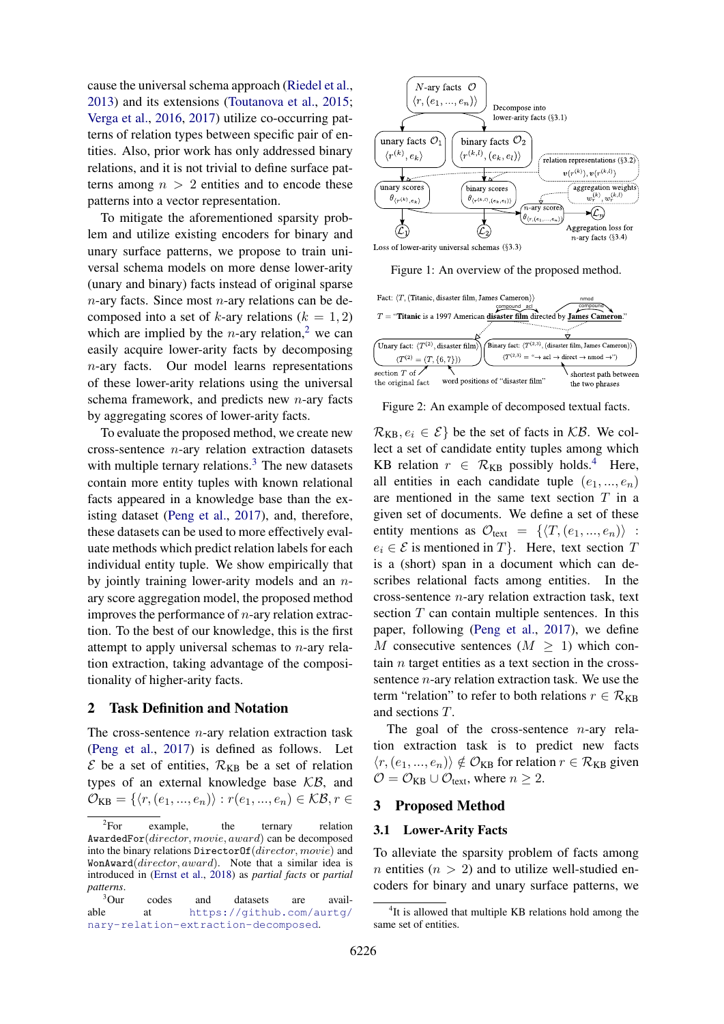cause the universal schema approach [\(Riedel et al.,](#page-5-6) [2013\)](#page-5-6) and its extensions [\(Toutanova et al.,](#page-5-7) [2015;](#page-5-7) [Verga et al.,](#page-5-8) [2016,](#page-5-8) [2017\)](#page-5-9) utilize co-occurring patterns of relation types between specific pair of entities. Also, prior work has only addressed binary relations, and it is not trivial to define surface patterns among  $n > 2$  entities and to encode these patterns into a vector representation.

To mitigate the aforementioned sparsity problem and utilize existing encoders for binary and unary surface patterns, we propose to train universal schema models on more dense lower-arity (unary and binary) facts instead of original sparse  $n$ -ary facts. Since most  $n$ -ary relations can be decomposed into a set of k-ary relations  $(k = 1, 2)$ which are implied by the  $n$ -ary relation,<sup>[2](#page-1-0)</sup> we can easily acquire lower-arity facts by decomposing n-ary facts. Our model learns representations of these lower-arity relations using the universal schema framework, and predicts new  $n$ -ary facts by aggregating scores of lower-arity facts.

To evaluate the proposed method, we create new cross-sentence  $n$ -ary relation extraction datasets with multiple ternary relations. $3$  The new datasets contain more entity tuples with known relational facts appeared in a knowledge base than the existing dataset [\(Peng et al.,](#page-5-3) [2017\)](#page-5-3), and, therefore, these datasets can be used to more effectively evaluate methods which predict relation labels for each individual entity tuple. We show empirically that by jointly training lower-arity models and an  $n$ ary score aggregation model, the proposed method improves the performance of  $n$ -ary relation extraction. To the best of our knowledge, this is the first attempt to apply universal schemas to  $n$ -ary relation extraction, taking advantage of the compositionality of higher-arity facts.

### 2 Task Definition and Notation

The cross-sentence  $n$ -ary relation extraction task [\(Peng et al.,](#page-5-3) [2017\)](#page-5-3) is defined as follows. Let  $\mathcal E$  be a set of entities,  $\mathcal R_{KB}$  be a set of relation types of an external knowledge base  $KB$ , and  $\mathcal{O}_{KB} = \{ \langle r, (e_1, ..., e_n) \rangle : r(e_1, ..., e_n) \in \mathcal{KB}, r \in$ 

<span id="page-1-3"></span>

Figure 1: An overview of the proposed method.

<span id="page-1-4"></span>

Figure 2: An example of decomposed textual facts.

 $\mathcal{R}_{KB}, e_i \in \mathcal{E}$  be the set of facts in  $\mathcal{KB}$ . We collect a set of candidate entity tuples among which KB relation  $r \in \mathcal{R}_{KB}$  possibly holds.<sup>[4](#page-1-2)</sup> Here, all entities in each candidate tuple  $(e_1, ..., e_n)$ are mentioned in the same text section  $T$  in a given set of documents. We define a set of these entity mentions as  $\mathcal{O}_{\text{text}} = \{ \langle T, (e_1, ..., e_n) \rangle :$  $e_i \in \mathcal{E}$  is mentioned in T }. Here, text section T is a (short) span in a document which can describes relational facts among entities. In the cross-sentence n-ary relation extraction task, text section  $T$  can contain multiple sentences. In this paper, following [\(Peng et al.,](#page-5-3) [2017\)](#page-5-3), we define M consecutive sentences  $(M > 1)$  which contain  $n$  target entities as a text section in the crosssentence  $n$ -ary relation extraction task. We use the term "relation" to refer to both relations  $r \in \mathcal{R}_{KB}$ and sections T.

The goal of the cross-sentence  $n$ -ary relation extraction task is to predict new facts  $\langle r, (e_1, ..., e_n) \rangle \notin \mathcal{O}_{KB}$  for relation  $r \in \mathcal{R}_{KB}$  given  $\mathcal{O} = \mathcal{O}_{KB} \cup \mathcal{O}_{text}$ , where  $n \geq 2$ .

# 3 Proposed Method

## <span id="page-1-5"></span>3.1 Lower-Arity Facts

To alleviate the sparsity problem of facts among n entities ( $n > 2$ ) and to utilize well-studied encoders for binary and unary surface patterns, we

<span id="page-1-0"></span> ${}^{2}For$ example, the ternary relation AwardedFor(director, movie, award) can be decomposed into the binary relations DirectorOf(director, movie) and WonAward(director, award). Note that a similar idea is introduced in [\(Ernst et al.,](#page-5-2) [2018\)](#page-5-2) as *partial facts* or *partial patterns*.

<span id="page-1-1"></span><sup>&</sup>lt;sup>3</sup>Our codes and datasets are available at https://github.com/aurtg/ at [https://github.com/aurtg/](https://github.com/aurtg/nary-relation-extraction-decomposed) [nary-relation-extraction-decomposed](https://github.com/aurtg/nary-relation-extraction-decomposed).

<span id="page-1-2"></span><sup>&</sup>lt;sup>4</sup>It is allowed that multiple KB relations hold among the same set of entities.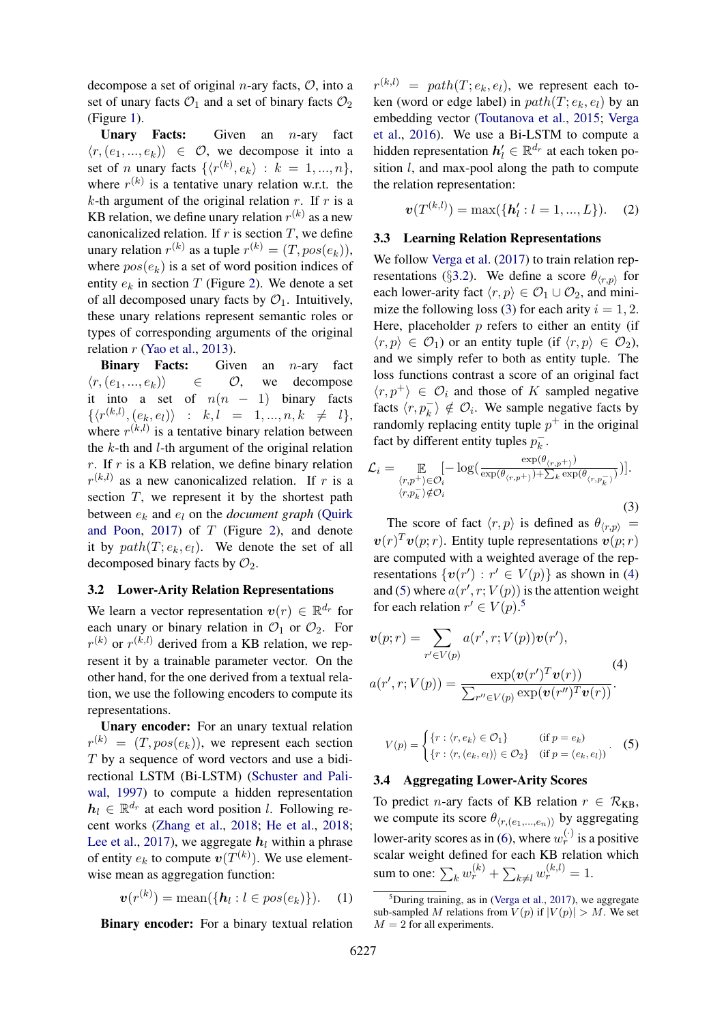decompose a set of original *n*-ary facts,  $\mathcal{O}$ , into a set of unary facts  $\mathcal{O}_1$  and a set of binary facts  $\mathcal{O}_2$ (Figure [1\)](#page-1-3).

**Unary Facts:** Given an  $n$ -ary fact  $\langle r,(e_1,...,e_k)\rangle \in \mathcal{O}$ , we decompose it into a set of *n* unary facts  $\{\langle r^{(k)}, e_k \rangle : k = 1, ..., n\},\$ where  $r^{(k)}$  is a tentative unary relation w.r.t. the k-th argument of the original relation r. If r is a KB relation, we define unary relation  $r^{(k)}$  as a new canonicalized relation. If  $r$  is section  $T$ , we define unary relation  $r^{(k)}$  as a tuple  $r^{(k)} = (T, pos(e_k)),$ where  $pos(e_k)$  is a set of word position indices of entity  $e_k$  in section T (Figure [2\)](#page-1-4). We denote a set of all decomposed unary facts by  $\mathcal{O}_1$ . Intuitively, these unary relations represent semantic roles or types of corresponding arguments of the original relation  $r$  [\(Yao et al.,](#page-5-10) [2013\)](#page-5-10).

**Binary Facts:** Given an  $n$ -ary fact  $\langle r, (e_1, ..., e_k) \rangle$  ∈  $\mathcal{O},$  we decompose it into a set of  $n(n - 1)$  binary facts  $\{\langle r^{(k,l)}, (e_k, e_l) \rangle \ : \ k, l = 1, ..., n, k \neq l\},$ where  $r^{(k,l)}$  is a tentative binary relation between the  $k$ -th and  $l$ -th argument of the original relation r. If r is a KB relation, we define binary relation  $r^{(k,l)}$  as a new canonicalized relation. If r is a section  $T$ , we represent it by the shortest path between  $e_k$  and  $e_l$  on the *document graph* [\(Quirk](#page-5-11)) [and Poon,](#page-5-11) [2017\)](#page-5-11) of  $T$  (Figure [2\)](#page-1-4), and denote it by  $path(T; e_k, e_l)$ . We denote the set of all decomposed binary facts by  $\mathcal{O}_2$ .

### <span id="page-2-0"></span>3.2 Lower-Arity Relation Representations

We learn a vector representation  $v(r) \in \mathbb{R}^{d_r}$  for each unary or binary relation in  $\mathcal{O}_1$  or  $\mathcal{O}_2$ . For  $r^{(k)}$  or  $r^{(k,l)}$  derived from a KB relation, we represent it by a trainable parameter vector. On the other hand, for the one derived from a textual relation, we use the following encoders to compute its representations.

Unary encoder: For an unary textual relation  $r^{(k)} = (T, pos(e_k))$ , we represent each section T by a sequence of word vectors and use a bidirectional LSTM (Bi-LSTM) [\(Schuster and Pali](#page-5-12)[wal,](#page-5-12) [1997\)](#page-5-12) to compute a hidden representation  $h_l \in \mathbb{R}^{d_r}$  at each word position l. Following recent works [\(Zhang et al.,](#page-6-0) [2018;](#page-6-0) [He et al.,](#page-5-13) [2018;](#page-5-13) [Lee et al.,](#page-5-14) [2017\)](#page-5-14), we aggregate  $h_l$  within a phrase of entity  $e_k$  to compute  $\mathbf{v}(T^{(k)})$ . We use elementwise mean as aggregation function:

$$
\boldsymbol{v}(r^{(k)}) = \operatorname{mean}(\{\boldsymbol{h}_l : l \in pos(e_k)\}). \quad (1)
$$

Binary encoder: For a binary textual relation

 $r^{(k,l)} = path(T; e_k, e_l)$ , we represent each token (word or edge label) in  $path(T; e_k, e_l)$  by an embedding vector [\(Toutanova et al.,](#page-5-7) [2015;](#page-5-7) [Verga](#page-5-8) [et al.,](#page-5-8) [2016\)](#page-5-8). We use a Bi-LSTM to compute a hidden representation  $h'_l \in \mathbb{R}^{d_r}$  at each token position  $l$ , and max-pool along the path to compute the relation representation:

$$
\boldsymbol{v}(T^{(k,l)}) = \max(\{\boldsymbol{h}'_l : l = 1, ..., L\}).
$$
 (2)

### 3.3 Learning Relation Representations

We follow [Verga et al.](#page-5-9) [\(2017\)](#page-5-9) to train relation rep-resentations (§[3.2\)](#page-2-0). We define a score  $\theta_{\langle r,p \rangle}$  for each lower-arity fact  $\langle r, p \rangle \in \mathcal{O}_1 \cup \mathcal{O}_2$ , and mini-mize the following loss [\(3\)](#page-2-1) for each arity  $i = 1, 2$ . Here, placeholder  $p$  refers to either an entity (if  $\langle r, p \rangle \in \mathcal{O}_1$  or an entity tuple (if  $\langle r, p \rangle \in \mathcal{O}_2$ ), and we simply refer to both as entity tuple. The loss functions contrast a score of an original fact  $\langle r, p^+ \rangle \in \mathcal{O}_i$  and those of K sampled negative facts  $\langle r, p_k^- \rangle \notin \mathcal{O}_i$ . We sample negative facts by randomly replacing entity tuple  $p^+$  in the original fact by different entity tuples  $p_k^ \frac{-}{k}$ .

<span id="page-2-1"></span>
$$
\mathcal{L}_{i} = \mathop{\mathbb{E}}_{\substack{\langle r,p^{+} \rangle \in \mathcal{O}_{i} \\ \langle r,p^{-}_{k} \rangle \notin \mathcal{O}_{i}}} [-\log(\frac{\exp(\theta_{\langle r,p^{+} \rangle})}{\exp(\theta_{\langle r,p^{+} \rangle}) + \sum_{k} \exp(\theta_{\langle r,p^{-}_{k} \rangle})})].
$$
\n(3)

The score of fact  $\langle r, p \rangle$  is defined as  $\theta_{\langle r, p \rangle}$  =  $\mathbf{v}(r)^T \mathbf{v}(p;r)$ . Entity tuple representations  $\mathbf{v}(p;r)$ are computed with a weighted average of the representations  $\{v(r') : r' \in V(p)\}\$ as shown in [\(4\)](#page-2-2) and [\(5\)](#page-2-3) where  $a(r', r; V(p))$  is the attention weight for each relation  $r' \in V(p)$ .<sup>[5](#page-2-4)</sup>

<span id="page-2-2"></span>
$$
\mathbf{v}(p;r) = \sum_{r' \in V(p)} a(r',r;V(p)) \mathbf{v}(r'),
$$
  
\n
$$
a(r',r;V(p)) = \frac{\exp(\mathbf{v}(r')^T \mathbf{v}(r))}{\sum_{r'' \in V(p)} \exp(\mathbf{v}(r'')^T \mathbf{v}(r))}.
$$
\n(4)

<span id="page-2-3"></span>
$$
V(p) = \begin{cases} \{r : \langle r, e_k \rangle \in \mathcal{O}_1\} & \text{ (if } p = e_k) \\ \{r : \langle r, (e_k, e_l) \rangle \in \mathcal{O}_2\} & \text{ (if } p = (e_k, e_l) \end{cases} .
$$
 (5)

### 3.4 Aggregating Lower-Arity Scores

To predict *n*-ary facts of KB relation  $r \in \mathcal{R}_{KB}$ , we compute its score  $\theta_{(r,(e_1,...,e_n))}$  by aggregating lower-arity scores as in [\(6\)](#page-3-1), where  $w_r^{(\cdot)}$  is a positive scalar weight defined for each KB relation which sum to one:  $\sum_{k} w_r^{(k)} + \sum_{k \neq l} w_r^{(k,l)} = 1$ .

<span id="page-2-4"></span> ${}^{5}$ During training, as in [\(Verga et al.,](#page-5-9) [2017\)](#page-5-9), we aggregate sub-sampled M relations from  $V(p)$  if  $|V(p)| > M$ . We set  $M = 2$  for all experiments.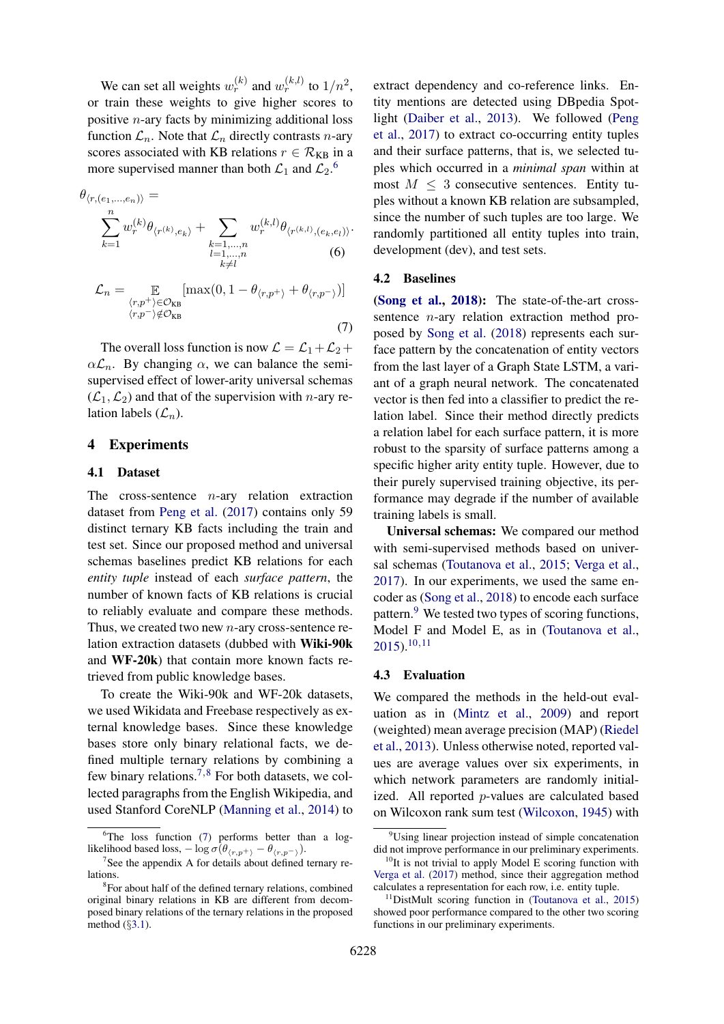We can set all weights  $w_r^{(k)}$  and  $w_r^{(k,l)}$  to  $1/n^2$ , or train these weights to give higher scores to positive  $n$ -ary facts by minimizing additional loss function  $\mathcal{L}_n$ . Note that  $\mathcal{L}_n$  directly contrasts *n*-ary scores associated with KB relations  $r \in \mathcal{R}_{KB}$  in a more supervised manner than both  $\mathcal{L}_1$  and  $\mathcal{L}_2$ .<sup>[6](#page-3-2)</sup>

<span id="page-3-5"></span><span id="page-3-1"></span>
$$
\theta_{\langle r,(e_1,...,e_n) \rangle} = \sum_{k=1}^n w_r^{(k)} \theta_{\langle r^{(k)},e_k \rangle} + \sum_{\substack{k=1,...,n \\ l=1,...,n \\ k \neq l}} w_r^{(k,l)} \theta_{\langle r^{(k,l)},(e_k,e_l) \rangle}.
$$
\n
$$
\mathcal{L}_n = \mathop{\mathbb{E}}_{\substack{\langle r,p^+\rangle \in \mathcal{O}_{KB} \\ \langle r,p^- \rangle \notin \mathcal{O}_{KB}}} [\max(0, 1 - \theta_{\langle r,p^+ \rangle} + \theta_{\langle r,p^- \rangle})]
$$

The overall loss function is now  $\mathcal{L} = \mathcal{L}_1 + \mathcal{L}_2 + \mathcal{L}_3$  $\alpha \mathcal{L}_n$ . By changing  $\alpha$ , we can balance the semisupervised effect of lower-arity universal schemas  $(\mathcal{L}_1,\mathcal{L}_2)$  and that of the supervision with *n*-ary relation labels  $(\mathcal{L}_n)$ .

# 4 Experiments

### <span id="page-3-0"></span>4.1 Dataset

The cross-sentence  $n$ -ary relation extraction dataset from [Peng et al.](#page-5-3) [\(2017\)](#page-5-3) contains only 59 distinct ternary KB facts including the train and test set. Since our proposed method and universal schemas baselines predict KB relations for each *entity tuple* instead of each *surface pattern*, the number of known facts of KB relations is crucial to reliably evaluate and compare these methods. Thus, we created two new n-ary cross-sentence relation extraction datasets (dubbed with Wiki-90k and WF-20k) that contain more known facts retrieved from public knowledge bases.

To create the Wiki-90k and WF-20k datasets, we used Wikidata and Freebase respectively as external knowledge bases. Since these knowledge bases store only binary relational facts, we defined multiple ternary relations by combining a few binary relations.<sup>[7](#page-3-3),[8](#page-3-4)</sup> For both datasets, we collected paragraphs from the English Wikipedia, and used Stanford CoreNLP [\(Manning et al.,](#page-5-15) [2014\)](#page-5-15) to

extract dependency and co-reference links. Entity mentions are detected using DBpedia Spotlight [\(Daiber et al.,](#page-4-1) [2013\)](#page-4-1). We followed [\(Peng](#page-5-3) [et al.,](#page-5-3) [2017\)](#page-5-3) to extract co-occurring entity tuples and their surface patterns, that is, we selected tuples which occurred in a *minimal span* within at most  $M \leq 3$  consecutive sentences. Entity tuples without a known KB relation are subsampled, since the number of such tuples are too large. We randomly partitioned all entity tuples into train, development (dev), and test sets.

#### 4.2 Baselines

(7)

[\(Song et al.,](#page-5-4) [2018\)](#page-5-4): The state-of-the-art crosssentence  $n$ -ary relation extraction method proposed by [Song et al.](#page-5-4) [\(2018\)](#page-5-4) represents each surface pattern by the concatenation of entity vectors from the last layer of a Graph State LSTM, a variant of a graph neural network. The concatenated vector is then fed into a classifier to predict the relation label. Since their method directly predicts a relation label for each surface pattern, it is more robust to the sparsity of surface patterns among a specific higher arity entity tuple. However, due to their purely supervised training objective, its performance may degrade if the number of available training labels is small.

Universal schemas: We compared our method with semi-supervised methods based on universal schemas [\(Toutanova et al.,](#page-5-7) [2015;](#page-5-7) [Verga et al.,](#page-5-9) [2017\)](#page-5-9). In our experiments, we used the same encoder as [\(Song et al.,](#page-5-4) [2018\)](#page-5-4) to encode each surface pattern.<sup>[9](#page-3-6)</sup> We tested two types of scoring functions, Model F and Model E, as in [\(Toutanova et al.,](#page-5-7)  $2015$ ).<sup>[10](#page-3-7),[11](#page-3-8)</sup>

#### 4.3 Evaluation

We compared the methods in the held-out evaluation as in [\(Mintz et al.,](#page-5-5) [2009\)](#page-5-5) and report (weighted) mean average precision (MAP) [\(Riedel](#page-5-6) [et al.,](#page-5-6) [2013\)](#page-5-6). Unless otherwise noted, reported values are average values over six experiments, in which network parameters are randomly initialized. All reported  $p$ -values are calculated based on Wilcoxon rank sum test [\(Wilcoxon,](#page-5-16) [1945\)](#page-5-16) with

<span id="page-3-2"></span> ${}^{6}$ The loss function [\(7\)](#page-3-5) performs better than a loglikelihood based loss,  $-\log \sigma(\theta_{\langle r,p^+\rangle} - \theta_{\langle r,p^-\rangle}).$ 

<span id="page-3-3"></span><sup>&</sup>lt;sup>7</sup>See the appendix A for details about defined ternary relations.

<span id="page-3-4"></span><sup>&</sup>lt;sup>8</sup>For about half of the defined ternary relations, combined original binary relations in KB are different from decomposed binary relations of the ternary relations in the proposed method (§[3.1\)](#page-1-5).

<span id="page-3-6"></span><sup>&</sup>lt;sup>9</sup>Using linear projection instead of simple concatenation did not improve performance in our preliminary experiments.

<span id="page-3-7"></span> $10$ It is not trivial to apply Model E scoring function with [Verga et al.](#page-5-9) [\(2017\)](#page-5-9) method, since their aggregation method calculates a representation for each row, i.e. entity tuple.

<span id="page-3-8"></span><sup>11</sup>DistMult scoring function in [\(Toutanova et al.,](#page-5-7) [2015\)](#page-5-7) showed poor performance compared to the other two scoring functions in our preliminary experiments.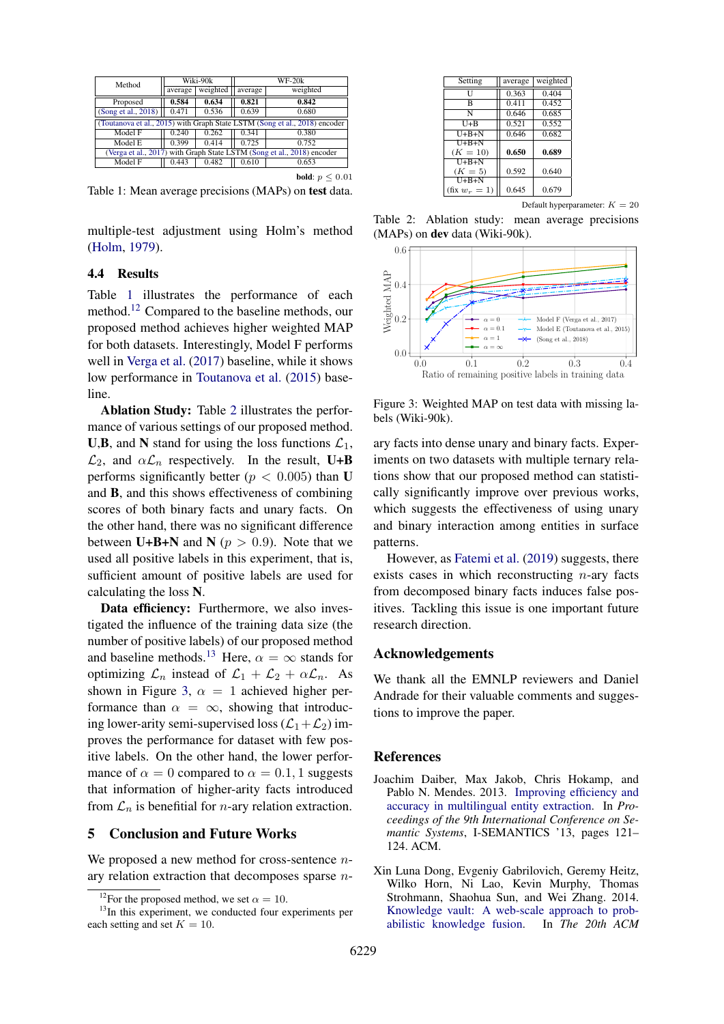<span id="page-4-2"></span>

| Method                                                                     | Wiki-90k |          | $WF-20k$ |                             |  |
|----------------------------------------------------------------------------|----------|----------|----------|-----------------------------|--|
|                                                                            | average  | weighted | average  | weighted                    |  |
| Proposed                                                                   | 0.584    | 0.634    | 0.821    | 0.842                       |  |
| (Song et al., 2018)                                                        | 0.471    | 0.536    | 0.639    | 0.680                       |  |
| (Toutanova et al., 2015) with Graph State LSTM (Song et al., 2018) encoder |          |          |          |                             |  |
| Model F                                                                    | 0.240    | 0.262    | 0.341    | 0.380                       |  |
| Model E                                                                    | 0.399    | 0.414    | 0.725    | 0.752                       |  |
| (Verga et al., 2017) with Graph State LSTM (Song et al., 2018) encoder     |          |          |          |                             |  |
| Model F                                                                    | 0.443    | 0.482    | 0.610    | 0.653                       |  |
|                                                                            |          |          |          | <b>bold</b> : $p \leq 0.01$ |  |

Table 1: Mean average precisions (MAPs) on test data.

multiple-test adjustment using Holm's method [\(Holm,](#page-5-17) [1979\)](#page-5-17).

### 4.4 Results

Table [1](#page-4-2) illustrates the performance of each method.<sup>[12](#page-4-3)</sup> Compared to the baseline methods, our proposed method achieves higher weighted MAP for both datasets. Interestingly, Model F performs well in [Verga et al.](#page-5-9) [\(2017\)](#page-5-9) baseline, while it shows low performance in [Toutanova et al.](#page-5-7) [\(2015\)](#page-5-7) baseline.

Ablation Study: Table [2](#page-4-4) illustrates the performance of various settings of our proposed method. U,B, and N stand for using the loss functions  $\mathcal{L}_1$ ,  $\mathcal{L}_2$ , and  $\alpha \mathcal{L}_n$  respectively. In the result, U+B performs significantly better ( $p < 0.005$ ) than U and B, and this shows effectiveness of combining scores of both binary facts and unary facts. On the other hand, there was no significant difference between U+B+N and N ( $p > 0.9$ ). Note that we used all positive labels in this experiment, that is, sufficient amount of positive labels are used for calculating the loss N.

Data efficiency: Furthermore, we also investigated the influence of the training data size (the number of positive labels) of our proposed method and baseline methods.<sup>[13](#page-4-5)</sup> Here,  $\alpha = \infty$  stands for optimizing  $\mathcal{L}_n$  instead of  $\mathcal{L}_1 + \mathcal{L}_2 + \alpha \mathcal{L}_n$ . As shown in Figure [3,](#page-4-6)  $\alpha = 1$  achieved higher performance than  $\alpha = \infty$ , showing that introducing lower-arity semi-supervised loss  $(\mathcal{L}_1+\mathcal{L}_2)$  improves the performance for dataset with few positive labels. On the other hand, the lower performance of  $\alpha = 0$  compared to  $\alpha = 0.1, 1$  suggests that information of higher-arity facts introduced from  $\mathcal{L}_n$  is benefitial for *n*-ary relation extraction.

# 5 Conclusion and Future Works

We proposed a new method for cross-sentence  $n$ ary relation extraction that decomposes sparse  $n-$ 

<span id="page-4-4"></span>

| Setting                 | average | weighted |
|-------------------------|---------|----------|
| Ħ                       | 0.363   | 0.404    |
| B                       | 0.411   | 0.452    |
| N                       | 0.646   | 0.685    |
| $U + B$                 | 0.521   | 0.552    |
| $\overline{U+B+N}$      | 0.646   | 0.682    |
| $U + B + N$             |         |          |
| $(K = 10)$              | 0.650   | 0.689    |
| $H + B + N$             |         |          |
| $(K = 5)$               | 0.592   | 0.640    |
| $U + B + N$             |         |          |
| $(\text{fix } w_r = 1)$ | 0.645   | 0.679    |
|                         |         |          |

Default hyperparameter:  $K = 20$ 

Table 2: Ablation study: mean average precisions (MAPs) on dev data (Wiki-90k).

<span id="page-4-6"></span>

Figure 3: Weighted MAP on test data with missing labels (Wiki-90k).

ary facts into dense unary and binary facts. Experiments on two datasets with multiple ternary relations show that our proposed method can statistically significantly improve over previous works, which suggests the effectiveness of using unary and binary interaction among entities in surface patterns.

However, as [Fatemi et al.](#page-5-18) [\(2019\)](#page-5-18) suggests, there exists cases in which reconstructing  $n$ -ary facts from decomposed binary facts induces false positives. Tackling this issue is one important future research direction.

### Acknowledgements

We thank all the EMNLP reviewers and Daniel Andrade for their valuable comments and suggestions to improve the paper.

### References

- <span id="page-4-1"></span>Joachim Daiber, Max Jakob, Chris Hokamp, and Pablo N. Mendes. 2013. [Improving efficiency and](https://doi.org/10.1145/2506182.2506198) [accuracy in multilingual entity extraction.](https://doi.org/10.1145/2506182.2506198) In *Proceedings of the 9th International Conference on Semantic Systems*, I-SEMANTICS '13, pages 121– 124. ACM.
- <span id="page-4-0"></span>Xin Luna Dong, Evgeniy Gabrilovich, Geremy Heitz, Wilko Horn, Ni Lao, Kevin Murphy, Thomas Strohmann, Shaohua Sun, and Wei Zhang. 2014. [Knowledge vault: A web-scale approach to prob](http://www.cs.cmu.edu/~nlao/publication/2014.kdd.pdf)[abilistic knowledge fusion.](http://www.cs.cmu.edu/~nlao/publication/2014.kdd.pdf) In *The 20th ACM*

<span id="page-4-5"></span><span id="page-4-3"></span><sup>&</sup>lt;sup>12</sup>For the proposed method, we set  $\alpha = 10$ .

<sup>&</sup>lt;sup>13</sup>In this experiment, we conducted four experiments per each setting and set  $K = 10$ .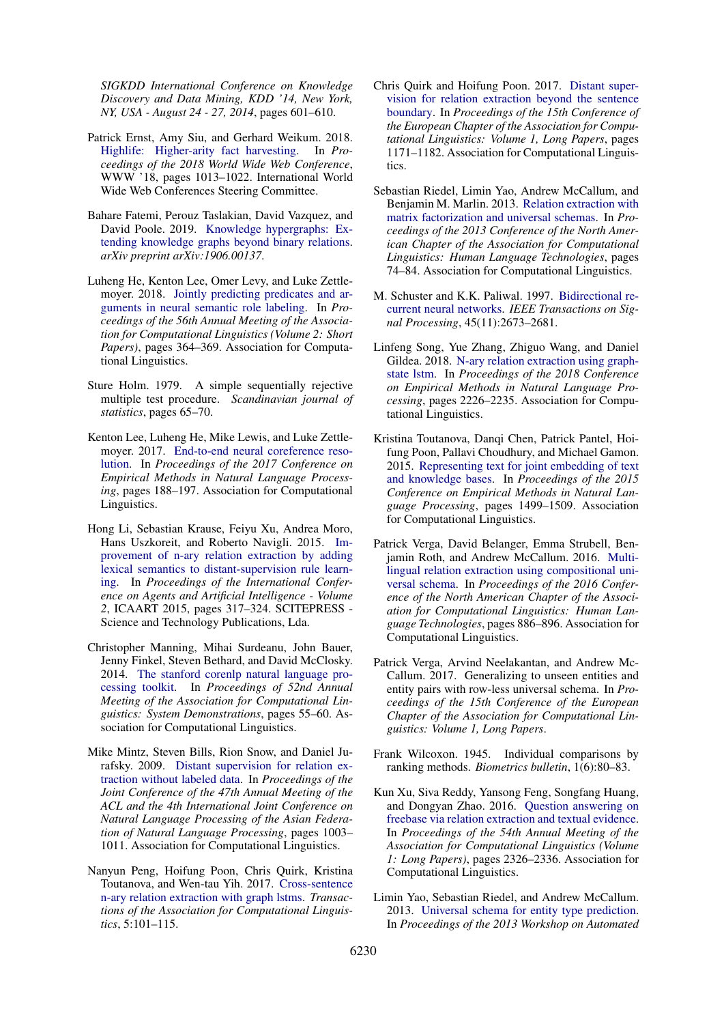*SIGKDD International Conference on Knowledge Discovery and Data Mining, KDD '14, New York, NY, USA - August 24 - 27, 2014*, pages 601–610.

- <span id="page-5-2"></span>Patrick Ernst, Amy Siu, and Gerhard Weikum. 2018. [Highlife: Higher-arity fact harvesting.](https://doi.org/10.1145/3178876.3186000) In *Proceedings of the 2018 World Wide Web Conference*, WWW '18, pages 1013–1022. International World Wide Web Conferences Steering Committee.
- <span id="page-5-18"></span>Bahare Fatemi, Perouz Taslakian, David Vazquez, and David Poole. 2019. [Knowledge hypergraphs: Ex](https://arxiv.org/abs/1906.00137)[tending knowledge graphs beyond binary relations.](https://arxiv.org/abs/1906.00137) *arXiv preprint arXiv:1906.00137*.
- <span id="page-5-13"></span>Luheng He, Kenton Lee, Omer Levy, and Luke Zettle-moyer. 2018. [Jointly predicting predicates and ar](http://aclweb.org/anthology/P18-2058)[guments in neural semantic role labeling.](http://aclweb.org/anthology/P18-2058) In *Proceedings of the 56th Annual Meeting of the Association for Computational Linguistics (Volume 2: Short Papers)*, pages 364–369. Association for Computational Linguistics.
- <span id="page-5-17"></span>Sture Holm. 1979. A simple sequentially rejective multiple test procedure. *Scandinavian journal of statistics*, pages 65–70.
- <span id="page-5-14"></span>Kenton Lee, Luheng He, Mike Lewis, and Luke Zettlemoyer. 2017. [End-to-end neural coreference reso](https://doi.org/10.18653/v1/D17-1018)[lution.](https://doi.org/10.18653/v1/D17-1018) In *Proceedings of the 2017 Conference on Empirical Methods in Natural Language Processing*, pages 188–197. Association for Computational Linguistics.
- <span id="page-5-1"></span>Hong Li, Sebastian Krause, Feiyu Xu, Andrea Moro, Hans Uszkoreit, and Roberto Navigli. 2015. [Im](https://doi.org/10.5220/0005187303170324)[provement of n-ary relation extraction by adding](https://doi.org/10.5220/0005187303170324) [lexical semantics to distant-supervision rule learn](https://doi.org/10.5220/0005187303170324)[ing.](https://doi.org/10.5220/0005187303170324) In *Proceedings of the International Conference on Agents and Artificial Intelligence - Volume 2*, ICAART 2015, pages 317–324. SCITEPRESS - Science and Technology Publications, Lda.
- <span id="page-5-15"></span>Christopher Manning, Mihai Surdeanu, John Bauer, Jenny Finkel, Steven Bethard, and David McClosky. 2014. [The stanford corenlp natural language pro](https://doi.org/10.3115/v1/P14-5010)[cessing toolkit.](https://doi.org/10.3115/v1/P14-5010) In *Proceedings of 52nd Annual Meeting of the Association for Computational Linguistics: System Demonstrations*, pages 55–60. Association for Computational Linguistics.
- <span id="page-5-5"></span>Mike Mintz, Steven Bills, Rion Snow, and Daniel Jurafsky. 2009. [Distant supervision for relation ex](http://aclweb.org/anthology/P09-1113)[traction without labeled data.](http://aclweb.org/anthology/P09-1113) In *Proceedings of the Joint Conference of the 47th Annual Meeting of the ACL and the 4th International Joint Conference on Natural Language Processing of the Asian Federation of Natural Language Processing*, pages 1003– 1011. Association for Computational Linguistics.
- <span id="page-5-3"></span>Nanyun Peng, Hoifung Poon, Chris Quirk, Kristina Toutanova, and Wen-tau Yih. 2017. [Cross-sentence](http://aclweb.org/anthology/Q17-1008) [n-ary relation extraction with graph lstms.](http://aclweb.org/anthology/Q17-1008) *Transactions of the Association for Computational Linguistics*, 5:101–115.
- <span id="page-5-11"></span>Chris Quirk and Hoifung Poon. 2017. [Distant super](http://aclweb.org/anthology/E17-1110)[vision for relation extraction beyond the sentence](http://aclweb.org/anthology/E17-1110) [boundary.](http://aclweb.org/anthology/E17-1110) In *Proceedings of the 15th Conference of the European Chapter of the Association for Computational Linguistics: Volume 1, Long Papers*, pages 1171–1182. Association for Computational Linguistics.
- <span id="page-5-6"></span>Sebastian Riedel, Limin Yao, Andrew McCallum, and Benjamin M. Marlin. 2013. [Relation extraction with](http://aclweb.org/anthology/N13-1008) [matrix factorization and universal schemas.](http://aclweb.org/anthology/N13-1008) In *Proceedings of the 2013 Conference of the North American Chapter of the Association for Computational Linguistics: Human Language Technologies*, pages 74–84. Association for Computational Linguistics.
- <span id="page-5-12"></span>M. Schuster and K.K. Paliwal. 1997. [Bidirectional re](https://doi.org/10.1109/78.650093)[current neural networks.](https://doi.org/10.1109/78.650093) *IEEE Transactions on Signal Processing*, 45(11):2673–2681.
- <span id="page-5-4"></span>Linfeng Song, Yue Zhang, Zhiguo Wang, and Daniel Gildea. 2018. [N-ary relation extraction using graph](http://aclweb.org/anthology/D18-1246)[state lstm.](http://aclweb.org/anthology/D18-1246) In *Proceedings of the 2018 Conference on Empirical Methods in Natural Language Processing*, pages 2226–2235. Association for Computational Linguistics.
- <span id="page-5-7"></span>Kristina Toutanova, Danqi Chen, Patrick Pantel, Hoifung Poon, Pallavi Choudhury, and Michael Gamon. 2015. [Representing text for joint embedding of text](https://doi.org/10.18653/v1/D15-1174) [and knowledge bases.](https://doi.org/10.18653/v1/D15-1174) In *Proceedings of the 2015 Conference on Empirical Methods in Natural Language Processing*, pages 1499–1509. Association for Computational Linguistics.
- <span id="page-5-8"></span>Patrick Verga, David Belanger, Emma Strubell, Benjamin Roth, and Andrew McCallum. 2016. [Multi](https://doi.org/10.18653/v1/N16-1103)[lingual relation extraction using compositional uni](https://doi.org/10.18653/v1/N16-1103)[versal schema.](https://doi.org/10.18653/v1/N16-1103) In *Proceedings of the 2016 Conference of the North American Chapter of the Association for Computational Linguistics: Human Language Technologies*, pages 886–896. Association for Computational Linguistics.
- <span id="page-5-9"></span>Patrick Verga, Arvind Neelakantan, and Andrew Mc-Callum. 2017. Generalizing to unseen entities and entity pairs with row-less universal schema. In *Proceedings of the 15th Conference of the European Chapter of the Association for Computational Linguistics: Volume 1, Long Papers*.
- <span id="page-5-16"></span>Frank Wilcoxon. 1945. Individual comparisons by ranking methods. *Biometrics bulletin*, 1(6):80–83.
- <span id="page-5-0"></span>Kun Xu, Siva Reddy, Yansong Feng, Songfang Huang, and Dongyan Zhao. 2016. [Question answering on](https://doi.org/10.18653/v1/P16-1220) [freebase via relation extraction and textual evidence.](https://doi.org/10.18653/v1/P16-1220) In *Proceedings of the 54th Annual Meeting of the Association for Computational Linguistics (Volume 1: Long Papers)*, pages 2326–2336. Association for Computational Linguistics.
- <span id="page-5-10"></span>Limin Yao, Sebastian Riedel, and Andrew McCallum. 2013. [Universal schema for entity type prediction.](https://doi.org/10.1145/2509558.2509572) In *Proceedings of the 2013 Workshop on Automated*